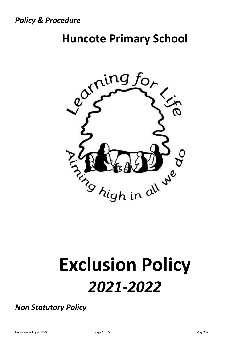*Policy & Procedure*

# **Huncote Primary School**



# **Exclusion Policy**  *2021-2022*

*Non Statutory Policy*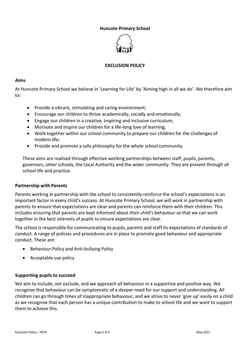# **Huncote Primary School**



# **EXCLUSION POLICY**

#### **Aims**

At Huncote Primary School we believe in 'Learning for Life' by 'Aiming high in all we do'. We therefore aim to:

- Provide a vibrant, stimulating and caring environment;
- Encourage our children to thrive academically, socially and emotionally;
- Engage our children in a creative, inspiring and inclusive curriculum;
- Motivate and inspire our children for a life-long love of learning;
- Work together within our school community to prepare our children for the challenges of modern life;
- Provide and promote a safe philosophy for the whole school community.

These aims are realised through effective working partnerships between staff, pupils, parents, governors, other schools, the Local Authority and the wider community. They are present through all school life and practice.

# **Partnership with Parents**

Parents working in partnership with the school to consistently reinforce the school's expectations is an important factor in every child's success. At Huncote Primary School, we will work in partnership with parents to ensure that expectations are clear and parents can reinforce them with their children. This includes ensuring that parents are kept informed about their child's behaviour so that we can work together in the best interests of pupils to ensure expectations are clear.

The school is responsible for communicating to pupils, parents and staff its expectations of standards of conduct. A range of policies and procedures are in place to promote good behaviour and appropriate conduct. These are:

- Behaviour Policy and Anti-bullying Policy
- Acceptable use policy

# **Supporting pupils to succeed**

We aim to include, not exclude, and we approach all behaviour in a supportive and positive way. We recognise that behaviour can be symptomatic of a deeper need for our support and understanding. All children can go through times of inappropriate behaviour, and we strive to never 'give up' easily on a child as we recognise that each person has a unique contribution to make to school life and we want to support them to achieve this.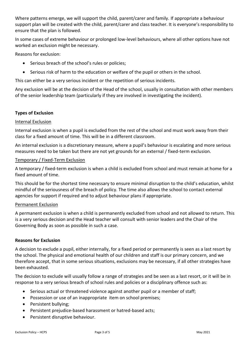Where patterns emerge, we will support the child, parent/carer and family. If appropriate a behaviour support plan will be created with the child, parent/carer and class teacher. It is everyone's responsibility to ensure that the plan is followed.

In some cases of extreme behaviour or prolonged low-level behaviours, where all other options have not worked an exclusion might be necessary.

Reasons for exclusion:

- Serious breach of the school's rules or policies;
- Serious risk of harm to the education or welfare of the pupil or others in the school.

This can either be a very serious incident or the repetition of serious incidents.

Any exclusion will be at the decision of the Head of the school, usually in consultation with other members of the senior leadership team (particularly if they are involved in investigating the incident).

# **Types of Exclusion**

#### Internal Exclusion

Internal exclusion is when a pupil is excluded from the rest of the school and must work away from their class for a fixed amount of time. This will be in a different classroom.

An internal exclusion is a discretionary measure, where a pupil's behaviour is escalating and more serious measures need to be taken but there are not yet grounds for an external / fixed-term exclusion.

#### Temporary / Fixed-Term Exclusion

A temporary / fixed-term exclusion is when a child is excluded from school and must remain at home for a fixed amount of time.

This should be for the shortest time necessary to ensure minimal disruption to the child's education, whilst mindful of the seriousness of the breach of policy. The time also allows the school to contact external agencies for support if required and to adjust behaviour plans if appropriate.

# Permanent Exclusion

A permanent exclusion is when a child is permanently excluded from school and not allowed to return. This is a very serious decision and the Head teacher will consult with senior leaders and the Chair of the Governing Body as soon as possible in such a case.

#### **Reasons for Exclusion**

A decision to exclude a pupil, either internally, for a fixed period or permanently is seen as a last resort by the school. The physical and emotional health of our children and staff is our primary concern, and we therefore accept, that in some serious situations, exclusions may be necessary, if all other strategies have been exhausted.

The decision to exclude will usually follow a range of strategies and be seen as a last resort, or it will be in response to a very serious breach of school rules and policies or a disciplinary offence such as:

- Serious actual or threatened violence against another pupil or a member of staff;
- Possession or use of an inappropriate item on school premises;
- Persistent bullying;
- Persistent prejudice-based harassment or hatred-based acts;
- Persistent disruptive behaviour.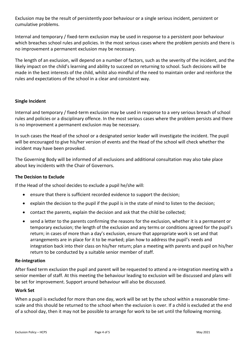Exclusion may be the result of persistently poor behaviour or a single serious incident, persistent or cumulative problems.

Internal and temporary / fixed-term exclusion may be used in response to a persistent poor behaviour which breaches school rules and policies. In the most serious cases where the problem persists and there is no improvement a permanent exclusion may be necessary.

The length of an exclusion, will depend on a number of factors, such as the severity of the incident, and the likely impact on the child's learning and ability to succeed on returning to school. Such decisions will be made in the best interests of the child, whilst also mindful of the need to maintain order and reinforce the rules and expectations of the school in a clear and consistent way.

# **Single Incident**

Internal and temporary / fixed-term exclusion may be used in response to a very serious breach of school rules and policies or a disciplinary offence. In the most serious cases where the problem persists and there is no improvement a permanent exclusion may be necessary.

In such cases the Head of the school or a designated senior leader will investigate the incident. The pupil will be encouraged to give his/her version of events and the Head of the school will check whether the incident may have been provoked.

The Governing Body will be informed of all exclusions and additional consultation may also take place about key incidents with the Chair of Governors.

# **The Decision to Exclude**

If the Head of the school decides to exclude a pupil he/she will:

- ensure that there is sufficient recorded evidence to support the decision;
- explain the decision to the pupil if the pupil is in the state of mind to listen to the decision;
- contact the parents, explain the decision and ask that the child be collected;
- send a letter to the parents confirming the reasons for the exclusion, whether it is a permanent or temporary exclusion; the length of the exclusion and any terms or conditions agreed for the pupil's return; in cases of more than a day's exclusion, ensure that appropriate work is set and that arrangements are in place for it to be marked; plan how to address the pupil's needs and integration back into their class on his/her return; plan a meeting with parents and pupil on his/her return to be conducted by a suitable senior member of staff.

# **Re-integration**

After fixed term exclusion the pupil and parent will be requested to attend a re-integration meeting with a senior member of staff. At this meeting the behaviour leading to exclusion will be discussed and plans will be set for improvement. Support around behaviour will also be discussed.

# **Work Set**

When a pupil is excluded for more than one day, work will be set by the school within a reasonable timescale and this should be returned to the school when the exclusion is over. If a child is excluded at the end of a school day, then it may not be possible to arrange for work to be set until the following morning.